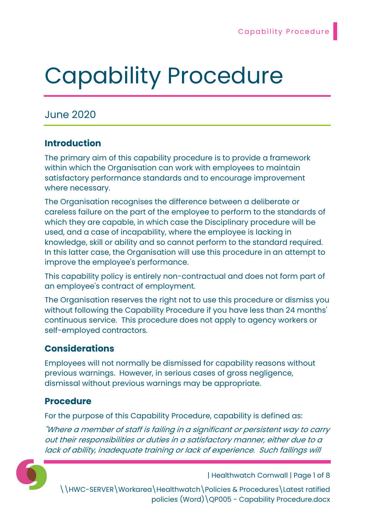# Capability Procedure

# June 2020

## Introduction

The primary aim of this capability procedure is to provide a framework within which the Organisation can work with employees to maintain satisfactory performance standards and to encourage improvement where necessary.

The Organisation recognises the difference between a deliberate or careless failure on the part of the employee to perform to the standards of which they are capable, in which case the Disciplinary procedure will be used, and a case of incapability, where the employee is lacking in knowledge, skill or ability and so cannot perform to the standard required. In this latter case, the Organisation will use this procedure in an attempt to improve the employee's performance.

This capability policy is entirely non-contractual and does not form part of an employee's contract of employment.

The Organisation reserves the right not to use this procedure or dismiss you without following the Capability Procedure if you have less than 24 months' continuous service. This procedure does not apply to agency workers or self-employed contractors.

## Considerations

Employees will not normally be dismissed for capability reasons without previous warnings. However, in serious cases of gross negligence, dismissal without previous warnings may be appropriate.

### Procedure

For the purpose of this Capability Procedure, capability is defined as:

"Where a member of staff is failing in a significant or persistent way to carry out their responsibilities or duties in a satisfactory manner, either due to a lack of ability, inadequate training or lack of experience. Such failings will



| Healthwatch Cornwall | Page 1 of 8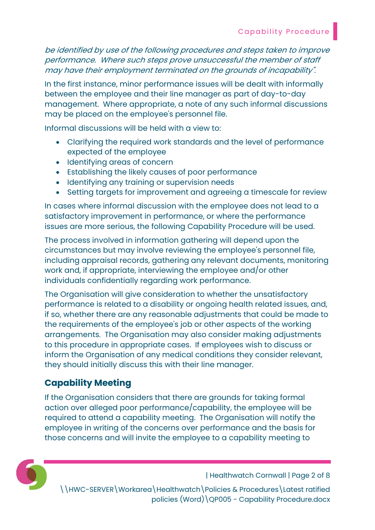be identified by use of the following procedures and steps taken to improve performance. Where such steps prove unsuccessful the member of staff may have their employment terminated on the grounds of incapability".

In the first instance, minor performance issues will be dealt with informally between the employee and their line manager as part of day-to-day management. Where appropriate, a note of any such informal discussions may be placed on the employee's personnel file.

Informal discussions will be held with a view to:

- Clarifying the required work standards and the level of performance expected of the employee
- Identifying areas of concern
- Establishing the likely causes of poor performance
- Identifying any training or supervision needs
- Setting targets for improvement and agreeing a timescale for review

In cases where informal discussion with the employee does not lead to a satisfactory improvement in performance, or where the performance issues are more serious, the following Capability Procedure will be used.

The process involved in information gathering will depend upon the circumstances but may involve reviewing the employee's personnel file, including appraisal records, gathering any relevant documents, monitoring work and, if appropriate, interviewing the employee and/or other individuals confidentially regarding work performance.

The Organisation will give consideration to whether the unsatisfactory performance is related to a disability or ongoing health related issues, and, if so, whether there are any reasonable adjustments that could be made to the requirements of the employee's job or other aspects of the working arrangements. The Organisation may also consider making adjustments to this procedure in appropriate cases. If employees wish to discuss or inform the Organisation of any medical conditions they consider relevant, they should initially discuss this with their line manager.

# Capability Meeting

If the Organisation considers that there are grounds for taking formal action over alleged poor performance/capability, the employee will be required to attend a capability meeting. The Organisation will notify the employee in writing of the concerns over performance and the basis for those concerns and will invite the employee to a capability meeting to



| Healthwatch Cornwall | Page 2 of 8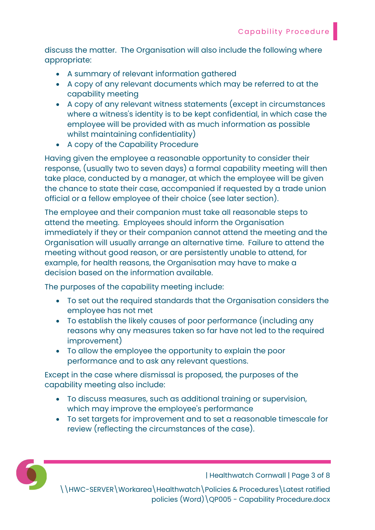discuss the matter. The Organisation will also include the following where appropriate:

- A summary of relevant information gathered
- A copy of any relevant documents which may be referred to at the capability meeting
- A copy of any relevant witness statements (except in circumstances where a witness's identity is to be kept confidential, in which case the employee will be provided with as much information as possible whilst maintaining confidentiality)
- A copy of the Capability Procedure

Having given the employee a reasonable opportunity to consider their response, (usually two to seven days) a formal capability meeting will then take place, conducted by a manager, at which the employee will be given the chance to state their case, accompanied if requested by a trade union official or a fellow employee of their choice (see later section).

The employee and their companion must take all reasonable steps to attend the meeting. Employees should inform the Organisation immediately if they or their companion cannot attend the meeting and the Organisation will usually arrange an alternative time. Failure to attend the meeting without good reason, or are persistently unable to attend, for example, for health reasons, the Organisation may have to make a decision based on the information available.

The purposes of the capability meeting include:

- To set out the required standards that the Organisation considers the employee has not met
- To establish the likely causes of poor performance (including any reasons why any measures taken so far have not led to the required improvement)
- To allow the employee the opportunity to explain the poor performance and to ask any relevant questions.

Except in the case where dismissal is proposed, the purposes of the capability meeting also include:

- To discuss measures, such as additional training or supervision, which may improve the employee's performance
- To set targets for improvement and to set a reasonable timescale for review (reflecting the circumstances of the case).



| Healthwatch Cornwall | Page 3 of 8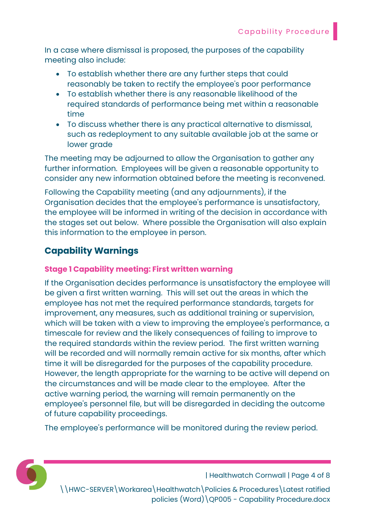In a case where dismissal is proposed, the purposes of the capability meeting also include:

- To establish whether there are any further steps that could reasonably be taken to rectify the employee's poor performance
- To establish whether there is any reasonable likelihood of the required standards of performance being met within a reasonable time
- To discuss whether there is any practical alternative to dismissal, such as redeployment to any suitable available job at the same or lower grade

The meeting may be adjourned to allow the Organisation to gather any further information. Employees will be given a reasonable opportunity to consider any new information obtained before the meeting is reconvened.

Following the Capability meeting (and any adjournments), if the Organisation decides that the employee's performance is unsatisfactory, the employee will be informed in writing of the decision in accordance with the stages set out below. Where possible the Organisation will also explain this information to the employee in person.

# Capability Warnings

#### Stage 1 Capability meeting: First written warning

If the Organisation decides performance is unsatisfactory the employee will be given a first written warning. This will set out the areas in which the employee has not met the required performance standards, targets for improvement, any measures, such as additional training or supervision, which will be taken with a view to improving the employee's performance, a timescale for review and the likely consequences of failing to improve to the required standards within the review period. The first written warning will be recorded and will normally remain active for six months, after which time it will be disregarded for the purposes of the capability procedure. However, the length appropriate for the warning to be active will depend on the circumstances and will be made clear to the employee. After the active warning period, the warning will remain permanently on the employee's personnel file, but will be disregarded in deciding the outcome of future capability proceedings.

The employee's performance will be monitored during the review period.



| Healthwatch Cornwall | Page 4 of 8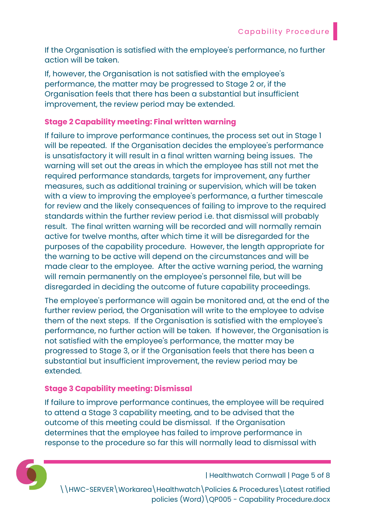If the Organisation is satisfied with the employee's performance, no further action will be taken.

If, however, the Organisation is not satisfied with the employee's performance, the matter may be progressed to Stage 2 or, if the Organisation feels that there has been a substantial but insufficient improvement, the review period may be extended.

#### Stage 2 Capability meeting: Final written warning

If failure to improve performance continues, the process set out in Stage 1 will be repeated. If the Organisation decides the employee's performance is unsatisfactory it will result in a final written warning being issues. The warning will set out the areas in which the employee has still not met the required performance standards, targets for improvement, any further measures, such as additional training or supervision, which will be taken with a view to improving the employee's performance, a further timescale for review and the likely consequences of failing to improve to the required standards within the further review period i.e. that dismissal will probably result. The final written warning will be recorded and will normally remain active for twelve months, after which time it will be disregarded for the purposes of the capability procedure. However, the length appropriate for the warning to be active will depend on the circumstances and will be made clear to the employee. After the active warning period, the warning will remain permanently on the employee's personnel file, but will be disregarded in deciding the outcome of future capability proceedings.

The employee's performance will again be monitored and, at the end of the further review period, the Organisation will write to the employee to advise them of the next steps. If the Organisation is satisfied with the employee's performance, no further action will be taken. If however, the Organisation is not satisfied with the employee's performance, the matter may be progressed to Stage 3, or if the Organisation feels that there has been a substantial but insufficient improvement, the review period may be extended.

#### Stage 3 Capability meeting: Dismissal

If failure to improve performance continues, the employee will be required to attend a Stage 3 capability meeting, and to be advised that the outcome of this meeting could be dismissal. If the Organisation determines that the employee has failed to improve performance in response to the procedure so far this will normally lead to dismissal with



| Healthwatch Cornwall | Page 5 of 8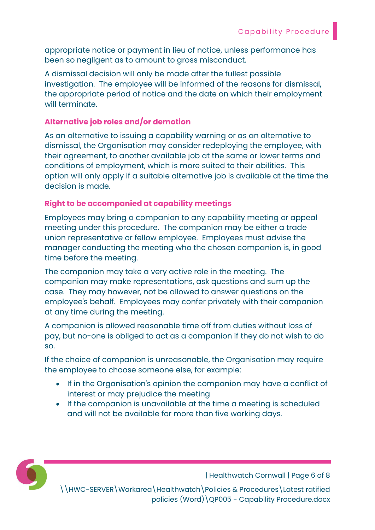appropriate notice or payment in lieu of notice, unless performance has been so negligent as to amount to gross misconduct.

A dismissal decision will only be made after the fullest possible investigation. The employee will be informed of the reasons for dismissal, the appropriate period of notice and the date on which their employment will terminate.

#### Alternative job roles and/or demotion

As an alternative to issuing a capability warning or as an alternative to dismissal, the Organisation may consider redeploying the employee, with their agreement, to another available job at the same or lower terms and conditions of employment, which is more suited to their abilities. This option will only apply if a suitable alternative job is available at the time the decision is made.

#### Right to be accompanied at capability meetings

Employees may bring a companion to any capability meeting or appeal meeting under this procedure. The companion may be either a trade union representative or fellow employee. Employees must advise the manager conducting the meeting who the chosen companion is, in good time before the meeting.

The companion may take a very active role in the meeting. The companion may make representations, ask questions and sum up the case. They may however, not be allowed to answer questions on the employee's behalf. Employees may confer privately with their companion at any time during the meeting.

A companion is allowed reasonable time off from duties without loss of pay, but no-one is obliged to act as a companion if they do not wish to do so.

If the choice of companion is unreasonable, the Organisation may require the employee to choose someone else, for example:

- If in the Organisation's opinion the companion may have a conflict of interest or may prejudice the meeting
- If the companion is unavailable at the time a meeting is scheduled and will not be available for more than five working days.



| Healthwatch Cornwall | Page 6 of 8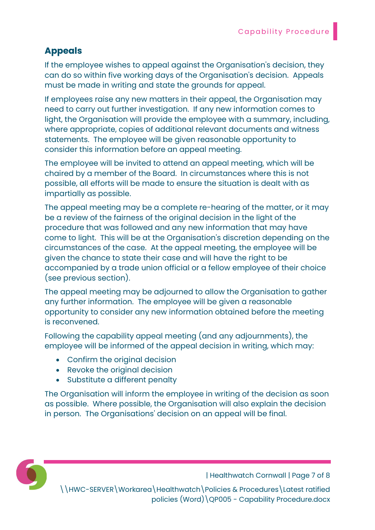# Appeals

If the employee wishes to appeal against the Organisation's decision, they can do so within five working days of the Organisation's decision. Appeals must be made in writing and state the grounds for appeal.

If employees raise any new matters in their appeal, the Organisation may need to carry out further investigation. If any new information comes to light, the Organisation will provide the employee with a summary, including, where appropriate, copies of additional relevant documents and witness statements. The employee will be given reasonable opportunity to consider this information before an appeal meeting.

The employee will be invited to attend an appeal meeting, which will be chaired by a member of the Board. In circumstances where this is not possible, all efforts will be made to ensure the situation is dealt with as impartially as possible.

The appeal meeting may be a complete re-hearing of the matter, or it may be a review of the fairness of the original decision in the light of the procedure that was followed and any new information that may have come to light. This will be at the Organisation's discretion depending on the circumstances of the case. At the appeal meeting, the employee will be given the chance to state their case and will have the right to be accompanied by a trade union official or a fellow employee of their choice (see previous section).

The appeal meeting may be adjourned to allow the Organisation to gather any further information. The employee will be given a reasonable opportunity to consider any new information obtained before the meeting is reconvened.

Following the capability appeal meeting (and any adjournments), the employee will be informed of the appeal decision in writing, which may:

- Confirm the original decision
- Revoke the original decision
- Substitute a different penalty

The Organisation will inform the employee in writing of the decision as soon as possible. Where possible, the Organisation will also explain the decision in person. The Organisations' decision on an appeal will be final.



| Healthwatch Cornwall | Page 7 of 8